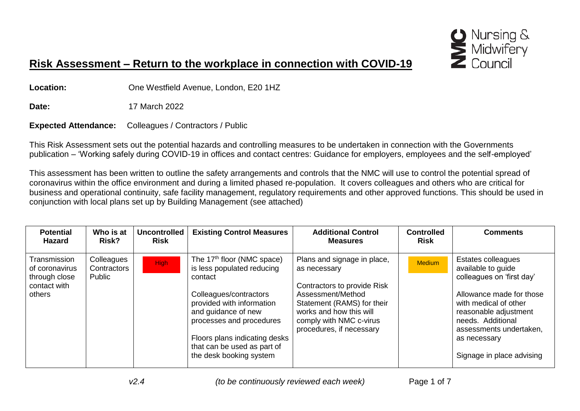

## **Risk Assessment – Return to the workplace in connection with COVID-19**

**Location:** One Westfield Avenue, London, E20 1HZ

**Date:** 17 March 2022

**Expected Attendance:** Colleagues / Contractors / Public

This Risk Assessment sets out the potential hazards and controlling measures to be undertaken in connection with the Governments publication – 'Working safely during COVID-19 in offices and contact centres: Guidance for employers, employees and the self-employed'

This assessment has been written to outline the safety arrangements and controls that the NMC will use to control the potential spread of coronavirus within the office environment and during a limited phased re-population. It covers colleagues and others who are critical for business and operational continuity, safe facility management, regulatory requirements and other approved functions. This should be used in conjunction with local plans set up by Building Management (see attached)

| <b>Potential</b><br><b>Hazard</b>                                         | Who is at<br>Risk?                  | <b>Uncontrolled</b><br><b>Risk</b> | <b>Existing Control Measures</b>                                                                                                                                                                                                                                                     | <b>Additional Control</b><br><b>Measures</b>                                                                                                                                                                    | <b>Controlled</b><br><b>Risk</b> | <b>Comments</b>                                                                                                                                                                                                                                         |
|---------------------------------------------------------------------------|-------------------------------------|------------------------------------|--------------------------------------------------------------------------------------------------------------------------------------------------------------------------------------------------------------------------------------------------------------------------------------|-----------------------------------------------------------------------------------------------------------------------------------------------------------------------------------------------------------------|----------------------------------|---------------------------------------------------------------------------------------------------------------------------------------------------------------------------------------------------------------------------------------------------------|
| Transmission<br>of coronavirus<br>through close<br>contact with<br>others | Colleagues<br>Contractors<br>Public | <b>High</b>                        | The 17 <sup>th</sup> floor (NMC space)<br>is less populated reducing<br>contact<br>Colleagues/contractors<br>provided with information<br>and guidance of new<br>processes and procedures<br>Floors plans indicating desks<br>that can be used as part of<br>the desk booking system | Plans and signage in place,<br>as necessary<br>Contractors to provide Risk<br>Assessment/Method<br>Statement (RAMS) for their<br>works and how this will<br>comply with NMC c-virus<br>procedures, if necessary | <b>Medium</b>                    | <b>Estates colleagues</b><br>available to guide<br>colleagues on 'first day'<br>Allowance made for those<br>with medical of other<br>reasonable adjustment<br>needs. Additional<br>assessments undertaken,<br>as necessary<br>Signage in place advising |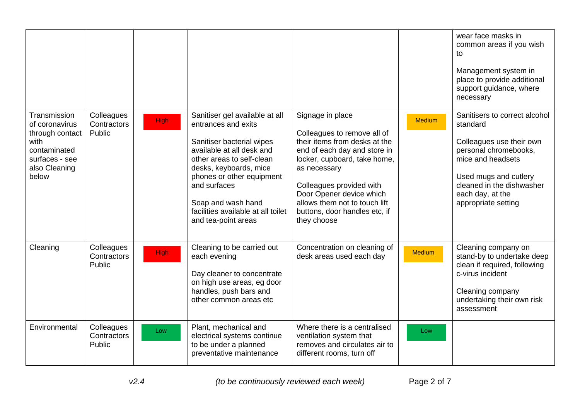|                                                                                                                       |                                     |             |                                                                                                                                                                                                                                                                                                        |                                                                                                                                                                                                                                                                                                           |               | wear face masks in<br>common areas if you wish<br>to<br>Management system in<br>place to provide additional<br>support guidance, where<br>necessary                                                                  |
|-----------------------------------------------------------------------------------------------------------------------|-------------------------------------|-------------|--------------------------------------------------------------------------------------------------------------------------------------------------------------------------------------------------------------------------------------------------------------------------------------------------------|-----------------------------------------------------------------------------------------------------------------------------------------------------------------------------------------------------------------------------------------------------------------------------------------------------------|---------------|----------------------------------------------------------------------------------------------------------------------------------------------------------------------------------------------------------------------|
| Transmission<br>of coronavirus<br>through contact<br>with<br>contaminated<br>surfaces - see<br>also Cleaning<br>below | Colleagues<br>Contractors<br>Public | <b>High</b> | Sanitiser gel available at all<br>entrances and exits<br>Sanitiser bacterial wipes<br>available at all desk and<br>other areas to self-clean<br>desks, keyboards, mice<br>phones or other equipment<br>and surfaces<br>Soap and wash hand<br>facilities available at all toilet<br>and tea-point areas | Signage in place<br>Colleagues to remove all of<br>their items from desks at the<br>end of each day and store in<br>locker, cupboard, take home,<br>as necessary<br>Colleagues provided with<br>Door Opener device which<br>allows them not to touch lift<br>buttons, door handles etc, if<br>they choose | <b>Medium</b> | Sanitisers to correct alcohol<br>standard<br>Colleagues use their own<br>personal chromebooks,<br>mice and headsets<br>Used mugs and cutlery<br>cleaned in the dishwasher<br>each day, at the<br>appropriate setting |
| Cleaning                                                                                                              | Colleagues<br>Contractors<br>Public | <b>High</b> | Cleaning to be carried out<br>each evening<br>Day cleaner to concentrate<br>on high use areas, eg door<br>handles, push bars and<br>other common areas etc                                                                                                                                             | Concentration on cleaning of<br>desk areas used each day                                                                                                                                                                                                                                                  | <b>Medium</b> | Cleaning company on<br>stand-by to undertake deep<br>clean if required, following<br>c-virus incident<br>Cleaning company<br>undertaking their own risk<br>assessment                                                |
| Environmental                                                                                                         | Colleagues<br>Contractors<br>Public | Low         | Plant, mechanical and<br>electrical systems continue<br>to be under a planned<br>preventative maintenance                                                                                                                                                                                              | Where there is a centralised<br>ventilation system that<br>removes and circulates air to<br>different rooms, turn off                                                                                                                                                                                     | Low           |                                                                                                                                                                                                                      |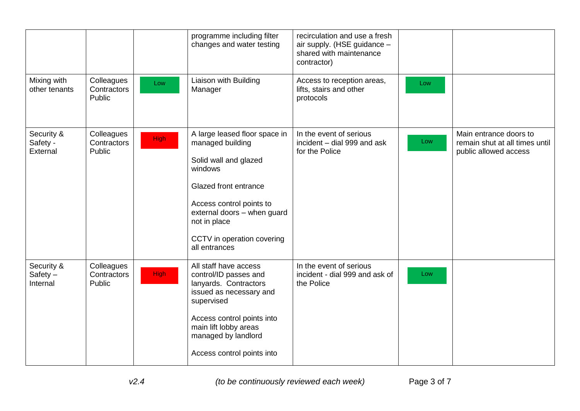|                                      |                                     |             | programme including filter<br>changes and water testing                                                                                                                                                                                  | recirculation and use a fresh<br>air supply. (HSE guidance -<br>shared with maintenance<br>contractor) |     |                                                                                   |
|--------------------------------------|-------------------------------------|-------------|------------------------------------------------------------------------------------------------------------------------------------------------------------------------------------------------------------------------------------------|--------------------------------------------------------------------------------------------------------|-----|-----------------------------------------------------------------------------------|
| Mixing with<br>other tenants         | Colleagues<br>Contractors<br>Public | Low         | Liaison with Building<br>Manager                                                                                                                                                                                                         | Access to reception areas,<br>lifts, stairs and other<br>protocols                                     | Low |                                                                                   |
| Security &<br>Safety -<br>External   | Colleagues<br>Contractors<br>Public | <b>High</b> | A large leased floor space in<br>managed building<br>Solid wall and glazed<br>windows<br>Glazed front entrance<br>Access control points to<br>external doors - when guard<br>not in place<br>CCTV in operation covering<br>all entrances | In the event of serious<br>incident - dial 999 and ask<br>for the Police                               | Low | Main entrance doors to<br>remain shut at all times until<br>public allowed access |
| Security &<br>$Safety -$<br>Internal | Colleagues<br>Contractors<br>Public | <b>High</b> | All staff have access<br>control/ID passes and<br>lanyards. Contractors<br>issued as necessary and<br>supervised<br>Access control points into<br>main lift lobby areas<br>managed by landlord<br>Access control points into             | In the event of serious<br>incident - dial 999 and ask of<br>the Police                                | Low |                                                                                   |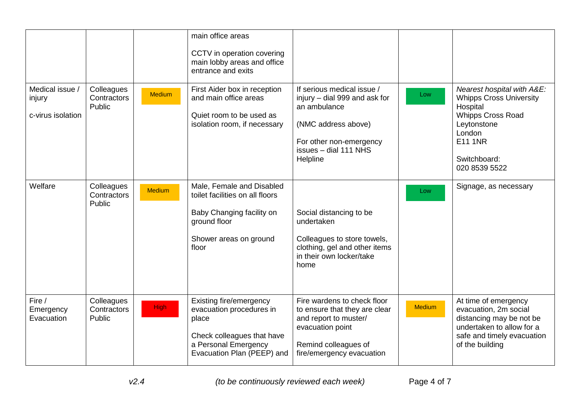| Medical issue /                   | Colleagues                          |               | main office areas<br>CCTV in operation covering<br>main lobby areas and office<br>entrance and exits<br>First Aider box in reception             | If serious medical issue /                                                                                                                                     |               | Nearest hospital with A&E:                                                                                                                              |
|-----------------------------------|-------------------------------------|---------------|--------------------------------------------------------------------------------------------------------------------------------------------------|----------------------------------------------------------------------------------------------------------------------------------------------------------------|---------------|---------------------------------------------------------------------------------------------------------------------------------------------------------|
| injury<br>c-virus isolation       | Contractors<br>Public               | <b>Medium</b> | and main office areas<br>Quiet room to be used as<br>isolation room, if necessary                                                                | injury - dial 999 and ask for<br>an ambulance<br>(NMC address above)<br>For other non-emergency<br>issues - dial 111 NHS<br>Helpline                           | Low           | <b>Whipps Cross University</b><br>Hospital<br><b>Whipps Cross Road</b><br>Leytonstone<br>London<br><b>E11 1NR</b><br>Switchboard:<br>020 8539 5522      |
| Welfare                           | Colleagues<br>Contractors<br>Public | <b>Medium</b> | Male, Female and Disabled<br>toilet facilities on all floors<br>Baby Changing facility on<br>ground floor<br>Shower areas on ground<br>floor     | Social distancing to be<br>undertaken<br>Colleagues to store towels,<br>clothing, gel and other items<br>in their own locker/take<br>home                      | Low           | Signage, as necessary                                                                                                                                   |
| Fire /<br>Emergency<br>Evacuation | Colleagues<br>Contractors<br>Public | <b>High</b>   | Existing fire/emergency<br>evacuation procedures in<br>place<br>Check colleagues that have<br>a Personal Emergency<br>Evacuation Plan (PEEP) and | Fire wardens to check floor<br>to ensure that they are clear<br>and report to muster/<br>evacuation point<br>Remind colleagues of<br>fire/emergency evacuation | <b>Medium</b> | At time of emergency<br>evacuation, 2m social<br>distancing may be not be<br>undertaken to allow for a<br>safe and timely evacuation<br>of the building |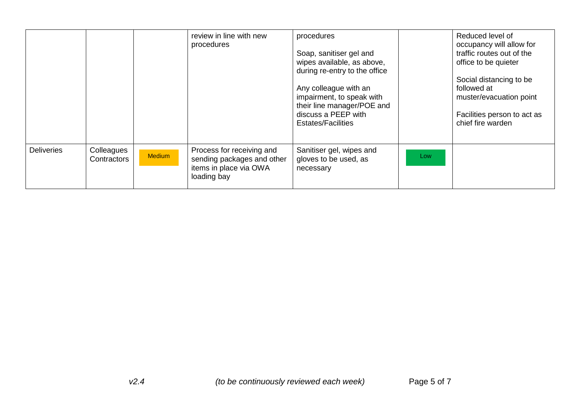|                   |                           |               | review in line with new<br>procedures                                                            | procedures<br>Soap, sanitiser gel and<br>wipes available, as above,<br>during re-entry to the office<br>Any colleague with an<br>impairment, to speak with<br>their line manager/POE and<br>discuss a PEEP with<br><b>Estates/Facilities</b> |     | Reduced level of<br>occupancy will allow for<br>traffic routes out of the<br>office to be quieter<br>Social distancing to be<br>followed at<br>muster/evacuation point<br>Facilities person to act as<br>chief fire warden |
|-------------------|---------------------------|---------------|--------------------------------------------------------------------------------------------------|----------------------------------------------------------------------------------------------------------------------------------------------------------------------------------------------------------------------------------------------|-----|----------------------------------------------------------------------------------------------------------------------------------------------------------------------------------------------------------------------------|
| <b>Deliveries</b> | Colleagues<br>Contractors | <b>Medium</b> | Process for receiving and<br>sending packages and other<br>items in place via OWA<br>loading bay | Sanitiser gel, wipes and<br>gloves to be used, as<br>necessary                                                                                                                                                                               | Low |                                                                                                                                                                                                                            |